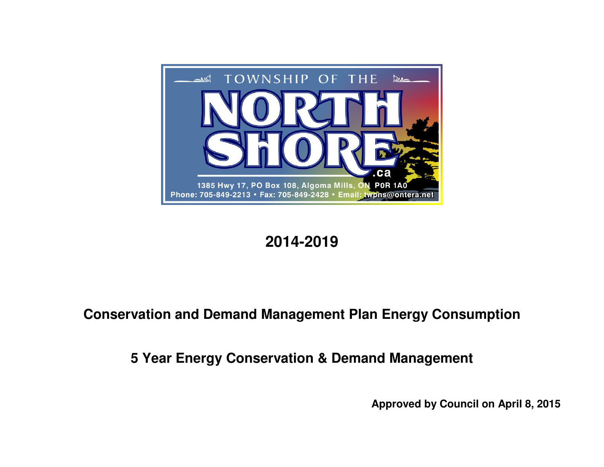

# **2014-2019**

# **Conservation and Demand Management Plan Energy Consumption**

**5 Year Energy Conservation & Demand Management** 

**Approved by Council on April 8, 2015**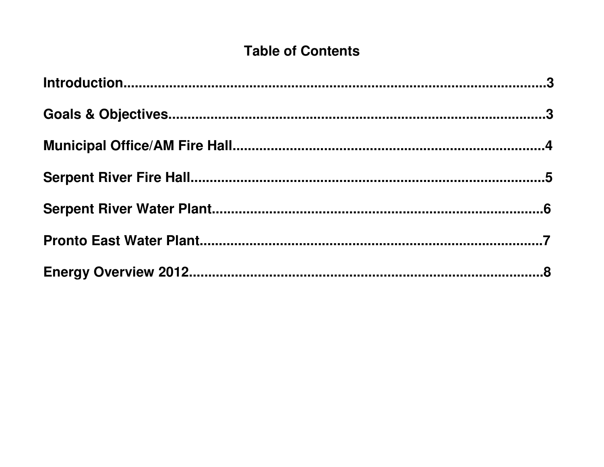# **Table of Contents**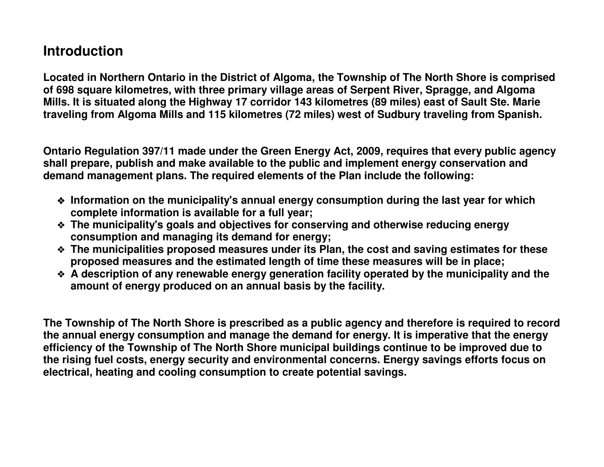## **Introduction**

**Located in Northern Ontario in the District of Algoma, the Township of The North Shore is comprised of 698 square kilometres, with three primary village areas of Serpent River, Spragge, and Algoma Mills. It is situated along the Highway 17 corridor 143 kilometres (89 miles) east of Sault Ste. Marietraveling from Algoma Mills and 115 kilometres (72 miles) west of Sudbury traveling from Spanish.** 

**Ontario Regulation 397/11 made under the Green Energy Act, 2009, requires that every public agency shall prepare, publish and make available to the public and implement energy conservation and demand management plans. The required elements of the Plan include the following:** 

- **Information on the municipality's annual energy consumption during the last year for which <br>
complete information is available for a full year: complete information is available for a full year;**
- **The municipality's goals and objectives for conserving and otherwise reducing energy consumption and managing its demand for energy;**
- **The municipalities proposed measures under its Plan, the cost and saving estimates for these proposed measures and the estimated length of time these measures will be in place;**
- **A description of any renewable energy generation facility operated by the municipality and the amount of energy produced on an annual basis by the facility. amount of energy produced on an annual basis by the facility.**

**The Township of The North Shore is prescribed as a public agency and therefore is required to record the annual energy consumption and manage the demand for energy. It is imperative that the energy efficiency of the Township of The North Shore municipal buildings continue to be improved due to the rising fuel costs, energy security and environmental concerns. Energy savings efforts focus on electrical, heating and cooling consumption to create potential savings.**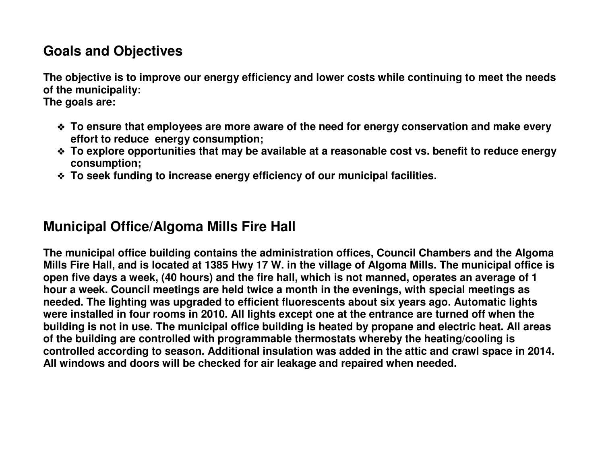## **Goals and Objectives**

**The objective is to improve our energy efficiency and lower costs while continuing to meet the needs of the municipality:** 

**The goals are:** 

- **To ensure that employees are more aware of the need for energy conservation and make every effort to reduce energy consumption;**
- **To explore opportunities that may be available at a reasonable cost vs. benefit to reduce energy consumption;**
- **To seek funding to increase energy efficiency of our municipal facilities.**

### **Municipal Office/Algoma Mills Fire Hall**

**The municipal office building contains the administration offices, Council Chambers and the Algoma Mills Fire Hall, and is located at 1385 Hwy 17 W. in the village of Algoma Mills. The municipal office is open five days a week, (40 hours) and the fire hall, which is not manned, operates an average of 1 hour a week. Council meetings are held twice a month in the evenings, with special meetings as needed. The lighting was upgraded to efficient fluorescents about six years ago. Automatic lights were installed in four rooms in 2010. All lights except one at the entrance are turned off when the building is not in use. The municipal office building is heated by propane and electric heat. All areas of the building are controlled with programmable thermostats whereby the heating/cooling is controlled according to season. Additional insulation was added in the attic and crawl space in 2014. All windows and doors will be checked for air leakage and repaired when needed.**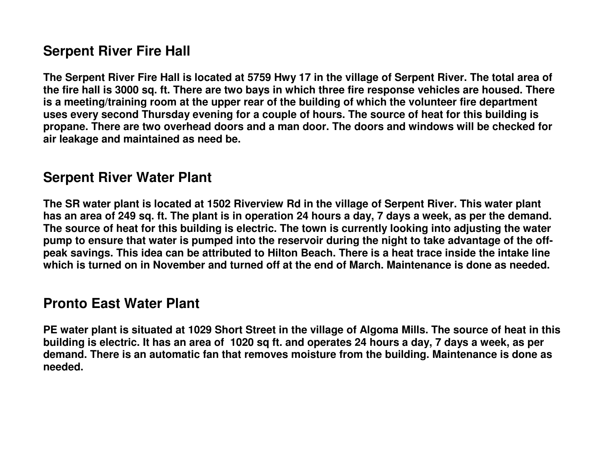### **Serpent River Fire Hall**

**The Serpent River Fire Hall is located at 5759 Hwy 17 in the village of Serpent River. The total area of the fire hall is 3000 sq. ft. There are two bays in which three fire response vehicles are housed. There is a meeting/training room at the upper rear of the building of which the volunteer fire department uses every second Thursday evening for a couple of hours. The source of heat for this building is propane. There are two overhead doors and a man door. The doors and windows will be checked for air leakage and maintained as need be.** 

### **Serpent River Water Plant**

**The SR water plant is located at 1502 Riverview Rd in the village of Serpent River. This water plant has an area of 249 sq. ft. The plant is in operation 24 hours a day, 7 days a week, as per the demand. The source of heat for this building is electric. The town is currently looking into adjusting the water pump to ensure that water is pumped into the reservoir during the night to take advantage of the offpeak savings. This idea can be attributed to Hilton Beach. There is a heat trace inside the intake line which is turned on in November and turned off at the end of March. Maintenance is done as needed.** 

#### **Pronto East Water Plant**

**PE water plant is situated at 1029 Short Street in the village of Algoma Mills. The source of heat in this building is electric. It has an area of 1020 sq ft. and operates 24 hours a day, 7 days a week, as per demand. There is an automatic fan that removes moisture from the building. Maintenance is done as needed.**